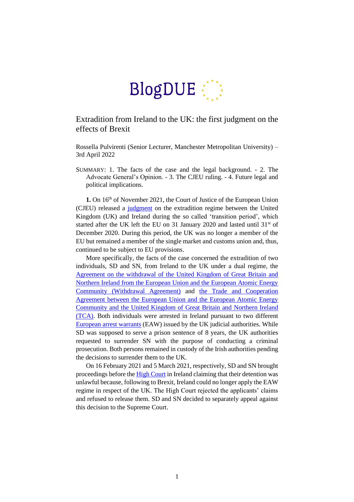

## Extradition from Ireland to the UK: the first judgment on the effects of Brexit

Rossella Pulvirenti (Senior Lecturer, Manchester Metropolitan University) – 3rd April 2022

SUMMARY: 1. The facts of the case and the legal background. - 2. The Advocate General's Opinion. - 3. The CJEU ruling. - 4. Future legal and political implications.

1. On 16<sup>th</sup> of November 2021, the Court of Justice of the European Union (CJEU) released a [judgment](https://curia.europa.eu/juris/document/document.jsf?text=&docid=249323&pageIndex=0&doclang=en&mode=lst&dir=&occ=first&part=1&cid=42053763) on the extradition regime between the United Kingdom (UK) and Ireland during the so called 'transition period', which started after the UK left the EU on 31 January 2020 and lasted until 31<sup>st</sup> of December 2020. During this period, the UK was no longer a member of the EU but remained a member of the single market and customs union and, thus, continued to be subject to EU provisions.

More specifically, the facts of the case concerned the extradition of two individuals, SD and SN, from Ireland to the UK under a dual regime, the [Agreement on the withdrawal of the United Kingdom of Great Britain and](https://eur-lex.europa.eu/legal-content/EN/TXT/?uri=uriserv:OJ.CI.2019.066.01.0001.01.ENG&toc=OJ:C:2019:066I:TOC)  [Northern Ireland from the European Union and the European Atomic Energy](https://eur-lex.europa.eu/legal-content/EN/TXT/?uri=uriserv:OJ.CI.2019.066.01.0001.01.ENG&toc=OJ:C:2019:066I:TOC)  [Community \(Withdrawal Agreement\)](https://eur-lex.europa.eu/legal-content/EN/TXT/?uri=uriserv:OJ.CI.2019.066.01.0001.01.ENG&toc=OJ:C:2019:066I:TOC) and [the Trade and Cooperation](https://ec.europa.eu/info/strategy/relations-non-eu-countries/relations-united-kingdom/eu-uk-trade-and-cooperation-agreement_en)  [Agreement between the European Union and the European Atomic Energy](https://ec.europa.eu/info/strategy/relations-non-eu-countries/relations-united-kingdom/eu-uk-trade-and-cooperation-agreement_en)  Community [and the United Kingdom of Great Britain and Northern Ireland](https://ec.europa.eu/info/strategy/relations-non-eu-countries/relations-united-kingdom/eu-uk-trade-and-cooperation-agreement_en)  [\(TCA\).](https://ec.europa.eu/info/strategy/relations-non-eu-countries/relations-united-kingdom/eu-uk-trade-and-cooperation-agreement_en) Both individuals were arrested in Ireland pursuant to two different [European arrest warrants](https://ec.europa.eu/info/law/cross-border-cases/judicial-cooperation/types-judicial-cooperation/european-arrest-warrant_en) (EAW) issued by the UK judicial authorities. While SD was supposed to serve a prison sentence of 8 years, the UK authorities requested to surrender SN with the purpose of conducting a criminal prosecution. Both persons remained in custody of the Irish authorities pending the decisions to surrender them to the UK.

On 16 February 2021 and 5 March 2021, respectively, SD and SN brought proceedings before the [High Court](https://www.courts.ie/view/judgments/6234e830-3a99-4b0d-be3b-7677224a8800/1ba6c7cb-1035-4391-9316-b1b45a82fd52/2021_IEHC_208.pdf/pdf) in Ireland claiming that their detention was unlawful because, following to Brexit, Ireland could no longer apply the EAW regime in respect of the UK. The High Court rejected the applicants' claims and refused to release them. SD and SN decided to separately appeal against this decision to the Supreme Court.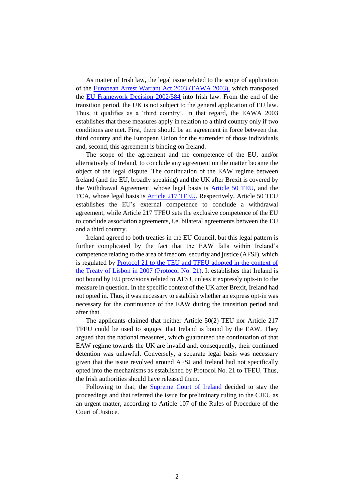As matter of Irish law, the legal issue related to the scope of application of the [European Arrest Warrant Act 2003 \(EAWA 2003\),](https://www.irishstatutebook.ie/eli/2003/act/45/enacted/en/html) which transposed the [EU Framework Decision 2002/584](https://eur-lex.europa.eu/legal-content/EN/TXT/?uri=celex%3A32002F0584) into Irish law. From the end of the transition period, the UK is not subject to the general application of EU law. Thus, it qualifies as a 'third country'. In that regard, the EAWA 2003 establishes that these measures apply in relation to a third country only if two conditions are met. First, there should be an agreement in force between that third country and the European Union for the surrender of those individuals and, second, this agreement is binding on Ireland.

The scope of the agreement and the competence of the EU, and/or alternatively of Ireland, to conclude any agreement on the matter became the object of the legal dispute. The continuation of the EAW regime between Ireland (and the EU, broadly speaking) and the UK after Brexit is covered by the Withdrawal Agreement, whose legal basis is [Article 50 TEU,](https://eur-lex.europa.eu/legal-content/EN/TXT/?uri=CELEX%3A12012M050) and the TCA, whose legal basis is [Article 217 TFEU.](https://eur-lex.europa.eu/legal-content/EN/TXT/?uri=CELEX%3A12016E217) Respectively, Article 50 TEU establishes the EU's external competence to conclude a withdrawal agreement, while Article 217 TFEU sets the exclusive competence of the EU to conclude association agreements, i.e. bilateral agreements between the EU and a third country.

Ireland agreed to both treaties in the EU Council, but this legal pattern is further complicated by the fact that the EAW falls within Ireland's competence relating to the area of freedom, security and justice (AFSJ), which is regulated by [Protocol 21 to the TEU and TFEU adopted in the context of](https://eur-lex.europa.eu/legal-content/EN/TXT/?uri=CELEX%3A12016E%2FPRO%2F21)  [the Treaty of Lisbon in 2007 \(Protocol No.](https://eur-lex.europa.eu/legal-content/EN/TXT/?uri=CELEX%3A12016E%2FPRO%2F21) 21). It establishes that Ireland is not bound by EU provisions related to AFSJ, unless it expressly opts-in to the measure in question. In the specific context of the UK after Brexit, Ireland had not opted in. Thus, it was necessary to establish whether an express opt-in was necessary for the continuance of the EAW during the transition period and after that.

The applicants claimed that neither Article 50(2) TEU nor Article 217 TFEU could be used to suggest that Ireland is bound by the EAW. They argued that the national measures, which guaranteed the continuation of that EAW regime towards the UK are invalid and, consequently, their continued detention was unlawful. Conversely, a separate legal basis was necessary given that the issue revolved around AFSJ and Ireland had not specifically opted into the mechanisms as established by Protocol No. 21 to TFEU. Thus, the Irish authorities should have released them.

Following to that, the **[Supreme Court](https://www.courts.ie/viewer/pdf/4d099250-0fc1-4547-aaca-cdb2e9970561/2021_IESC_45%20(Unapproved).pdf/pdf#view=fitH) of Ireland** decided to stay the proceedings and that referred the issue for preliminary ruling to the CJEU as an urgent matter, according to Article 107 of the Rules of Procedure of the Court of Justice.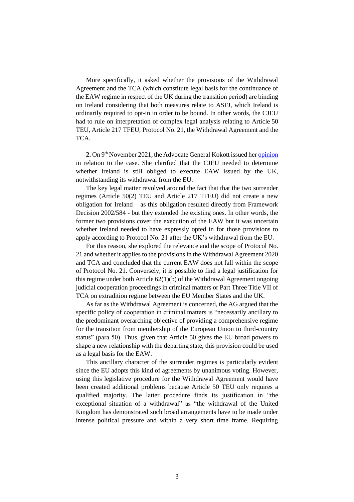More specifically, it asked whether the provisions of the Withdrawal Agreement and the TCA (which constitute legal basis for the continuance of the EAW regime in respect of the UK during the transition period) are binding on Ireland considering that both measures relate to ASFJ, which Ireland is ordinarily required to opt-in in order to be bound. In other words, the CJEU had to rule on interpretation of complex legal analysis relating to Article 50 TEU, Article 217 TFEU, Protocol No. 21, the Withdrawal Agreement and the TCA.

**2.** On 9th November 2021, the Advocate General Kokott issued her [opinion](https://curia.europa.eu/juris/document/document.jsf?text=&docid=248961&pageIndex=0&doclang=en&mode=lst&dir=&occ=first&part=1&cid=40531539) in relation to the case. She clarified that the CJEU needed to determine whether Ireland is still obliged to execute EAW issued by the UK, notwithstanding its withdrawal from the EU.

The key legal matter revolved around the fact that that the two surrender regimes (Article 50(2) TEU and Article 217 TFEU) did not create a new obligation for Ireland – as this obligation resulted directly from Framework Decision 2002/584 - but they extended the existing ones. In other words, the former two provisions cover the execution of the EAW but it was uncertain whether Ireland needed to have expressly opted in for those provisions to apply according to Protocol No. 21 after the UK's withdrawal from the EU.

For this reason, she explored the relevance and the scope of Protocol No. 21 and whether it applies to the provisions in the Withdrawal Agreement 2020 and TCA and concluded that the current EAW does not fall within the scope of Protocol No. 21. Conversely, it is possible to find a legal justification for this regime under both Article 62(1)(b) of the Withdrawal Agreement ongoing judicial cooperation proceedings in criminal matters or Part Three Title VII of TCA on extradition regime between the EU Member States and the UK.

As far as the Withdrawal Agreement is concerned, the AG argued that the specific policy of cooperation in criminal matters is "necessarily ancillary to the predominant overarching objective of providing a comprehensive regime for the transition from membership of the European Union to third-country status" (para 50). Thus, given that Article 50 gives the EU broad powers to shape a new relationship with the departing state, this provision could be used as a legal basis for the EAW.

This ancillary character of the surrender regimes is particularly evident since the EU adopts this kind of agreements by unanimous voting. However, using this legislative procedure for the Withdrawal Agreement would have been created additional problems because Article 50 TEU only requires a qualified majority. The latter procedure finds its justification in "the exceptional situation of a withdrawal" as "the withdrawal of the United Kingdom has demonstrated such broad arrangements have to be made under intense political pressure and within a very short time frame. Requiring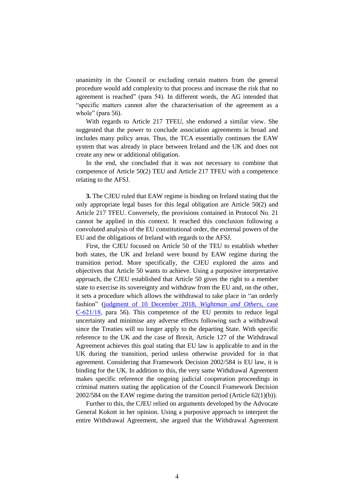unanimity in the Council or excluding certain matters from the general procedure would add complexity to that process and increase the risk that no agreement is reached" (para 54). In different words, the AG intended that "specific matters cannot alter the characterisation of the agreement as a whole" (para 56).

With regards to Article 217 TFEU, she endorsed a similar view. She suggested that the power to conclude association agreements is broad and includes many policy areas. Thus, the TCA essentially continues the EAW system that was already in place between Ireland and the UK and does not create any new or additional obligation.

In the end, she concluded that it was not necessary to combine that competence of Article 50(2) TEU and Article 217 TFEU with a competence relating to the AFSJ.

**3.** The CJEU ruled that EAW regime is binding on Ireland stating that the only appropriate legal bases for this legal obligation are Article 50(2) and Article 217 TFEU. Conversely, the provisions contained in Protocol No. 21 cannot be applied in this context. It reached this conclusion following a convoluted analysis of the EU constitutional order, the external powers of the EU and the obligations of Ireland with regards to the AFSJ.

First, the CJEU focused on Article 50 of the TEU to establish whether both states, the UK and Ireland were bound by EAW regime during the transition period. More specifically, the CJEU explored the aims and objectives that Article 50 wants to achieve. Using a purposive interpretative approach, the CJEU established that Article 50 gives the right to a member state to exercise its sovereignty and withdraw from the EU and, on the other, it sets a procedure which allows the withdrawal to take place in "an orderly fashion" [\(judgment of 10 December 2018,](https://curia.europa.eu/juris/liste.jsf?num=C-621/18) *Wightman and Others*, case [C‑621/18,](https://curia.europa.eu/juris/liste.jsf?num=C-621/18) para 56). This competence of the EU permits to reduce legal uncertainty and minimise any adverse effects following such a withdrawal since the Treaties will no longer apply to the departing State. With specific reference to the UK and the case of Brexit, Article 127 of the Withdrawal Agreement achieves this goal stating that EU law is applicable to and in the UK during the transition, period unless otherwise provided for in that agreement. Considering that Framework Decision 2002/584 is EU law, it is binding for the UK. In addition to this, the very same Withdrawal Agreement makes specific reference the ongoing judicial cooperation proceedings in criminal matters stating the application of the Council Framework Decision 2002/584 on the EAW regime during the transition period (Article 62(1)(b)).

Further to this, the CJEU relied on arguments developed by the Advocate General Kokott in her opinion. Using a purposive approach to interpret the entire Withdrawal Agreement, she argued that the Withdrawal Agreement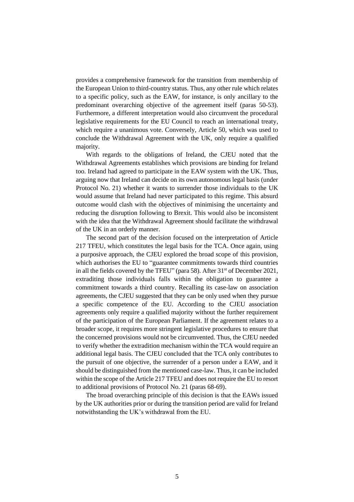provides a comprehensive framework for the transition from membership of the European Union to third-country status. Thus, any other rule which relates to a specific policy, such as the EAW, for instance, is only ancillary to the predominant overarching objective of the agreement itself (paras 50-53). Furthermore, a different interpretation would also circumvent the procedural legislative requirements for the EU Council to reach an international treaty, which require a unanimous vote. Conversely, Article 50, which was used to conclude the Withdrawal Agreement with the UK, only require a qualified majority.

With regards to the obligations of Ireland, the CJEU noted that the Withdrawal Agreements establishes which provisions are binding for Ireland too. Ireland had agreed to participate in the EAW system with the UK. Thus, arguing now that Ireland can decide on its own autonomous legal basis (under Protocol No. 21) whether it wants to surrender those individuals to the UK would assume that Ireland had never participated to this regime. This absurd outcome would clash with the objectives of minimising the uncertainty and reducing the disruption following to Brexit. This would also be inconsistent with the idea that the Withdrawal Agreement should facilitate the withdrawal of the UK in an orderly manner.

The second part of the decision focused on the interpretation of Article 217 TFEU, which constitutes the legal basis for the TCA. Once again, using a purposive approach, the CJEU explored the broad scope of this provision, which authorises the EU to "guarantee commitments towards third countries in all the fields covered by the TFEU" (para 58). After  $31<sup>st</sup>$  of December 2021, extraditing those individuals falls within the obligation to guarantee a commitment towards a third country. Recalling its case-law on association agreements, the CJEU suggested that they can be only used when they pursue a specific competence of the EU. According to the CJEU association agreements only require a qualified majority without the further requirement of the participation of the European Parliament. If the agreement relates to a broader scope, it requires more stringent legislative procedures to ensure that the concerned provisions would not be circumvented. Thus, the CJEU needed to verify whether the extradition mechanism within the TCA would require an additional legal basis. The CJEU concluded that the TCA only contributes to the pursuit of one objective, the surrender of a person under a EAW, and it should be distinguished from the mentioned case-law. Thus, it can be included within the scope of the Article 217 TFEU and does not require the EU to resort to additional provisions of Protocol No. 21 (paras 68-69).

The broad overarching principle of this decision is that the EAWs issued by the UK authorities prior or during the transition period are valid for Ireland notwithstanding the UK's withdrawal from the EU.